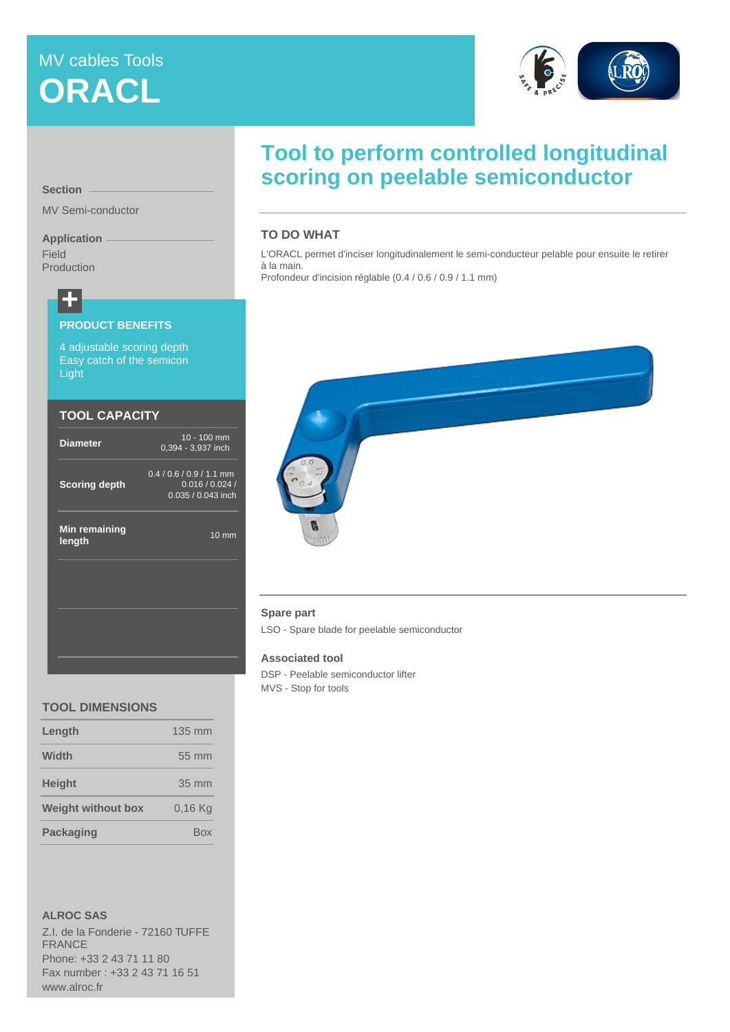# MV cables Tools **ORACL**



**Section**

MV Semi-conductor

## **Application**

Field Production

# **+**

#### **PRODUCT BENEFITS**

4 adjustable scoring depth Easy catch of the semicon **Light** 

### **TOOL CAPACITY**

| <b>Diameter</b>         | 10 - 100 mm<br>$0,394 - 3,937$ inch                                   |  |  |  |
|-------------------------|-----------------------------------------------------------------------|--|--|--|
| <b>Scoring depth</b>    | $0.4 / 0.6 / 0.9 / 1.1$ mm<br>0.016 / 0.024 /<br>$0.035 / 0.043$ inch |  |  |  |
| Min remaining<br>length | $10 \text{ mm}$                                                       |  |  |  |
|                         |                                                                       |  |  |  |
|                         |                                                                       |  |  |  |

### **TOOL DIMENSIONS**

| Length                    | $135 \text{ mm}$    |
|---------------------------|---------------------|
| Width                     | $55 \, \mathrm{mm}$ |
| <b>Height</b>             | 35 mm               |
| <b>Weight without box</b> | 0.16 Ka             |
| <b>Packaging</b>          | Box                 |
|                           |                     |

**ALROC SAS**

Z.I. de la Fonderie - 72160 TUFFE FRANCE Phone: +33 2 43 71 11 80 Fax number : +33 2 43 71 16 51 www.alroc.fr

# **Tool to perform controlled longitudinal scoring on peelable semiconductor**

# **TO DO WHAT**

L'ORACL permet d'inciser longitudinalement le semi-conducteur pelable pour ensuite le retirer à la main.

Profondeur d'incision réglable (0.4 / 0.6 / 0.9 / 1.1 mm)



### **Spare part**

LSO - Spare blade for peelable semiconductor

#### **Associated tool**

DSP - Peelable semiconductor lifter MVS - Stop for tools